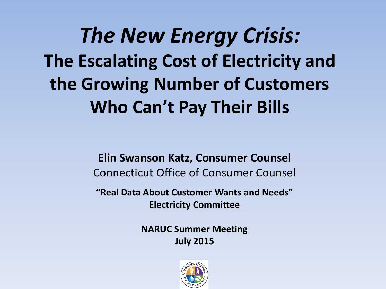*The New Energy Crisis:* **The Escalating Cost of Electricity and the Growing Number of Customers Who Can't Pay Their Bills**

> **Elin Swanson Katz, Consumer Counsel** Connecticut Office of Consumer Counsel

**"Real Data About Customer Wants and Needs" Electricity Committee**

> **NARUC Summer Meeting July 2015**

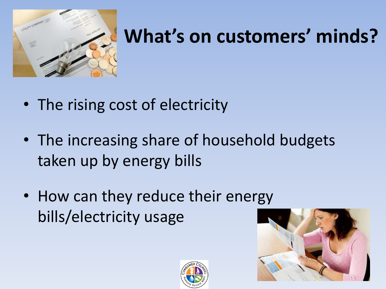

### **What's on customers' minds?**

- The rising cost of electricity
- The increasing share of household budgets taken up by energy bills
- How can they reduce their energy bills/electricity usage



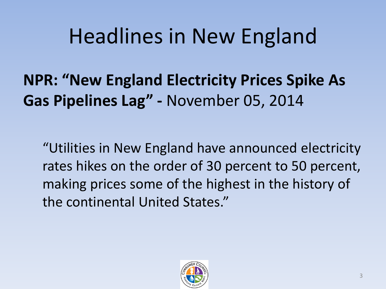### Headlines in New England

**NPR: "New England Electricity Prices Spike As Gas Pipelines Lag" -** November 05, 2014

"Utilities in New England have announced electricity rates hikes on the order of 30 percent to 50 percent, making prices some of the highest in the history of the continental United States."

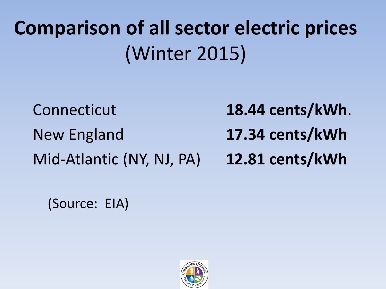## **Comparison of all sector electric prices**  (Winter 2015)

Connecticut **18.44 cents/kWh**. New England **17.34 cents/kWh** Mid-Atlantic (NY, NJ, PA) **12.81 cents/kWh**

(Source: EIA)

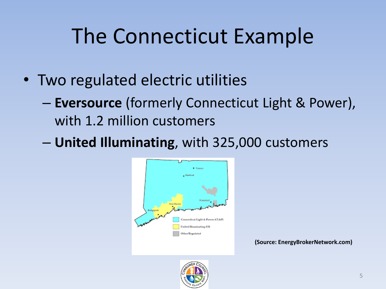## The Connecticut Example

- Two regulated electric utilities
	- **Eversource** (formerly Connecticut Light & Power), with 1.2 million customers
	- **United Illuminating**, with 325,000 customers



**(Source: EnergyBrokerNetwork.com)**

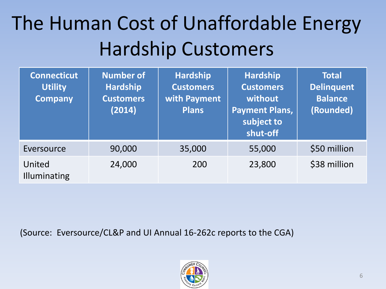### The Human Cost of Unaffordable Energy Hardship Customers

| <b>Connecticut</b><br><b>Utility</b><br><b>Company</b> | <b>Number of</b><br><b>Hardship</b><br><b>Customers</b><br>(2014) | <b>Hardship</b><br><b>Customers</b><br>with Payment<br><b>Plans</b> | <b>Hardship</b><br><b>Customers</b><br>without<br><b>Payment Plans,</b><br>subject to<br>shut-off | <b>Total</b><br><b>Delinquent</b><br><b>Balance</b><br>(Rounded) |
|--------------------------------------------------------|-------------------------------------------------------------------|---------------------------------------------------------------------|---------------------------------------------------------------------------------------------------|------------------------------------------------------------------|
| Eversource                                             | 90,000                                                            | 35,000                                                              | 55,000                                                                                            | \$50 million                                                     |
| United<br>Illuminating                                 | 24,000                                                            | 200                                                                 | 23,800                                                                                            | \$38 million                                                     |

(Source: Eversource/CL&P and UI Annual 16-262c reports to the CGA)

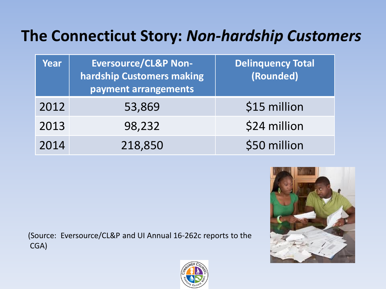#### **The Connecticut Story:** *Non-hardship Customers*

| Year | <b>Eversource/CL&amp;P Non-</b><br>hardship Customers making<br>payment arrangements | <b>Delinquency Total</b><br>(Rounded) |
|------|--------------------------------------------------------------------------------------|---------------------------------------|
| 2012 | 53,869                                                                               | \$15 million                          |
| 2013 | 98,232                                                                               | \$24 million                          |
| 2014 | 218,850                                                                              | \$50 million                          |

(Source: Eversource/CL&P and UI Annual 16-262c reports to the CGA)



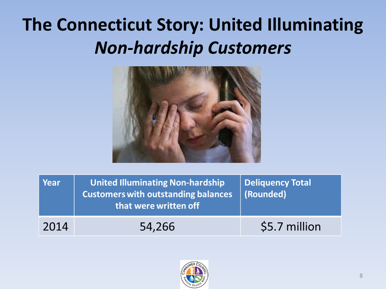### **The Connecticut Story: United Illuminating**  *Non-hardship Customers*



| Year | <b>United Illuminating Non-hardship</b><br><b>Customers with outstanding balances</b><br>that were written off | <b>Deliquency Total</b><br>(Rounded) |
|------|----------------------------------------------------------------------------------------------------------------|--------------------------------------|
| 2014 | 54,266                                                                                                         | \$5.7 million                        |

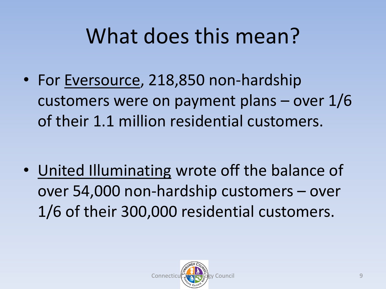### What does this mean?

• For Eversource, 218,850 non-hardship customers were on payment plans – over 1/6 of their 1.1 million residential customers.

• United Illuminating wrote off the balance of over 54,000 non-hardship customers – over 1/6 of their 300,000 residential customers.

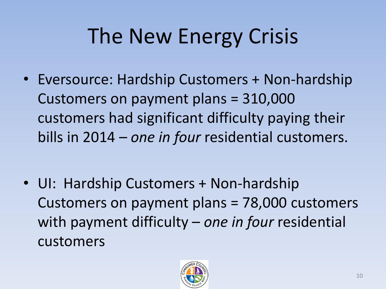# The New Energy Crisis

• Eversource: Hardship Customers + Non-hardship Customers on payment plans = 310,000 customers had significant difficulty paying their bills in 2014 – *one in four* residential customers.

• UI: Hardship Customers + Non-hardship Customers on payment plans = 78,000 customers with payment difficulty – *one in four* residential customers

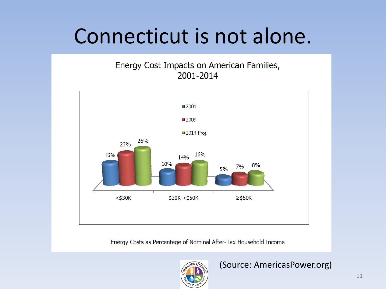### Connecticut is not alone.

Energy Cost Impacts on American Families, 2001-2014



Energy Costs as Percentage of Nominal After-Tax Household Income

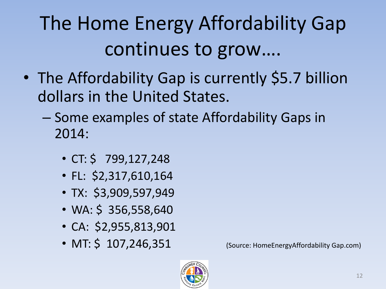## The Home Energy Affordability Gap continues to grow….

- The Affordability Gap is currently \$5.7 billion dollars in the United States.
	- Some examples of state Affordability Gaps in 2014:
		- CT: \$ 799,127,248
		- FL: \$2,317,610,164
		- TX: \$3,909,597,949
		- WA: \$ 356,558,640
		- CA: \$2,955,813,901
		- MT:  $\frac{107,246,351}{200}$  (Source: HomeEnergyAffordability Gap.com)